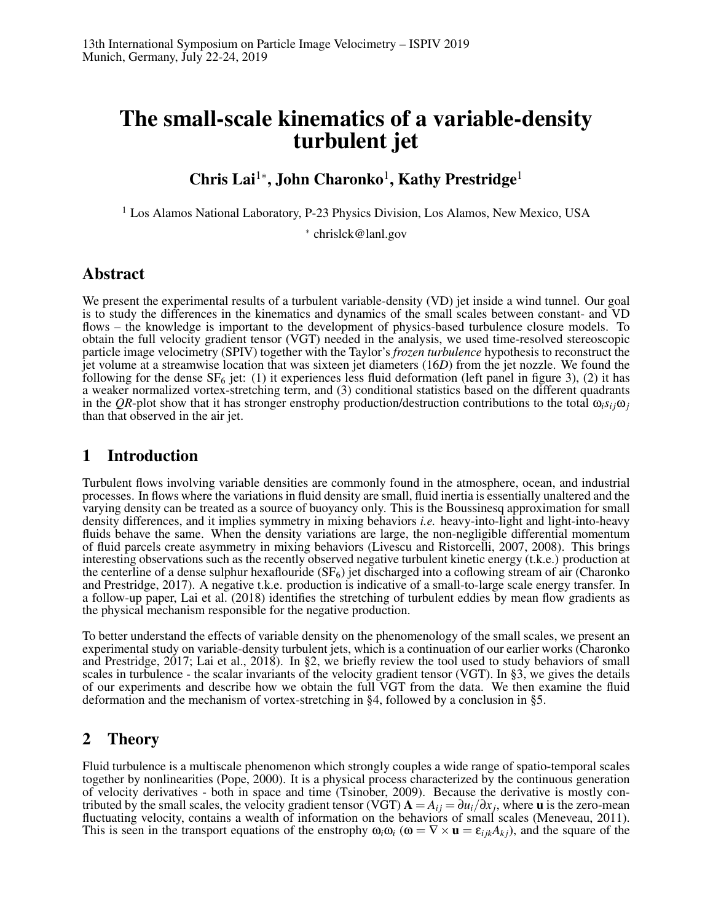# The small-scale kinematics of a variable-density turbulent jet

## Chris Lai<sup>1</sup>\*, John Charonko<sup>1</sup>, Kathy Prestridge<sup>1</sup>

<sup>1</sup> Los Alamos National Laboratory, P-23 Physics Division, Los Alamos, New Mexico, USA

∗ chrislck@lanl.gov

## Abstract

We present the experimental results of a turbulent variable-density (VD) jet inside a wind tunnel. Our goal is to study the differences in the kinematics and dynamics of the small scales between constant- and VD flows – the knowledge is important to the development of physics-based turbulence closure models. To obtain the full velocity gradient tensor (VGT) needed in the analysis, we used time-resolved stereoscopic particle image velocimetry (SPIV) together with the Taylor's *frozen turbulence* hypothesis to reconstruct the jet volume at a streamwise location that was sixteen jet diameters (16*D*) from the jet nozzle. We found the following for the dense  $SF_6$  jet: (1) it experiences less fluid deformation (left panel in figure 3), (2) it has a weaker normalized vortex-stretching term, and (3) conditional statistics based on the different quadrants in the *QR*-plot show that it has stronger enstrophy production/destruction contributions to the total  $\omega_i s_{ij} \omega_j$ than that observed in the air jet.

## 1 Introduction

Turbulent flows involving variable densities are commonly found in the atmosphere, ocean, and industrial processes. In flows where the variations in fluid density are small, fluid inertia is essentially unaltered and the varying density can be treated as a source of buoyancy only. This is the Boussinesq approximation for small density differences, and it implies symmetry in mixing behaviors *i.e.* heavy-into-light and light-into-heavy fluids behave the same. When the density variations are large, the non-negligible differential momentum of fluid parcels create asymmetry in mixing behaviors (Livescu and Ristorcelli, 2007, 2008). This brings interesting observations such as the recently observed negative turbulent kinetic energy (t.k.e.) production at the centerline of a dense sulphur hexaflouride  $(SF_6)$  jet discharged into a coflowing stream of air (Charonko and Prestridge, 2017). A negative t.k.e. production is indicative of a small-to-large scale energy transfer. In a follow-up paper, Lai et al. (2018) identifies the stretching of turbulent eddies by mean flow gradients as the physical mechanism responsible for the negative production.

To better understand the effects of variable density on the phenomenology of the small scales, we present an experimental study on variable-density turbulent jets, which is a continuation of our earlier works (Charonko and Prestridge, 2017; Lai et al., 2018). In §2, we briefly review the tool used to study behaviors of small scales in turbulence - the scalar invariants of the velocity gradient tensor (VGT). In §3, we gives the details of our experiments and describe how we obtain the full VGT from the data. We then examine the fluid deformation and the mechanism of vortex-stretching in §4, followed by a conclusion in §5.

## 2 Theory

Fluid turbulence is a multiscale phenomenon which strongly couples a wide range of spatio-temporal scales together by nonlinearities (Pope, 2000). It is a physical process characterized by the continuous generation of velocity derivatives - both in space and time (Tsinober, 2009). Because the derivative is mostly contributed by the small scales, the velocity gradient tensor (VGT)  $A = A_{ij} = \partial u_i / \partial x_j$ , where u is the zero-mean fluctuating velocity, contains a wealth of information on the behaviors of small scales (Meneveau, 2011). This is seen in the transport equations of the enstrophy  $\omega_i \omega_i$  ( $\omega = \nabla \times \mathbf{u} = \varepsilon_{ijk} A_{ki}$ ), and the square of the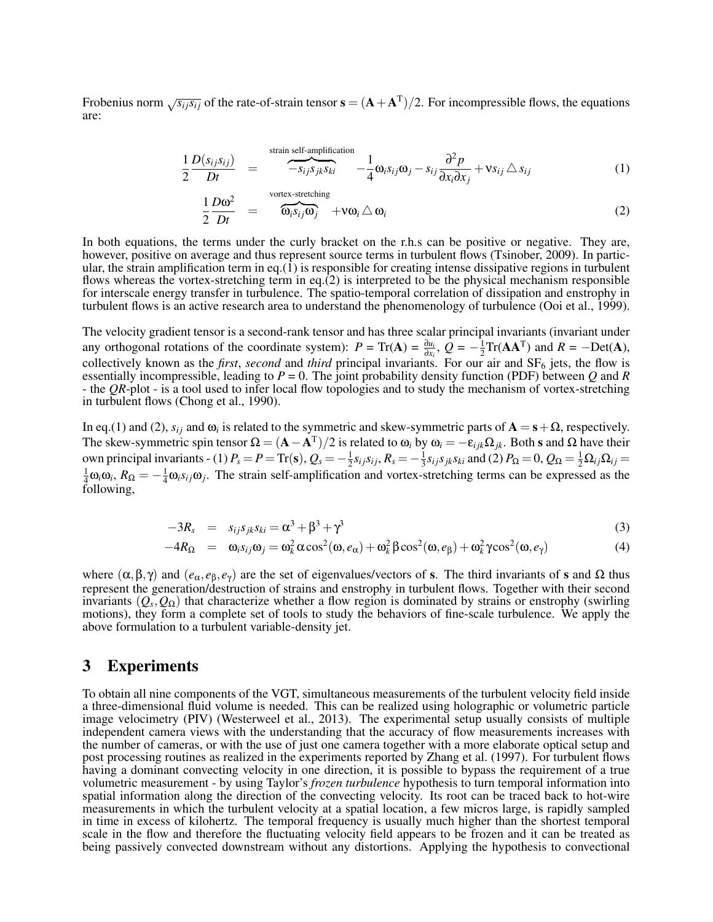Frobenius norm  $\sqrt{s_{ij} s_{ij}}$  of the rate-of-strain tensor  $\mathbf{s} = (\mathbf{A} + \mathbf{A}^T)/2$ . For incompressible flows, the equations are:

$$
\frac{1}{2}\frac{D(s_{ij}s_{ij})}{Dt} = \frac{\text{strain self-amplification}}{-s_{ij}s_{jk}s_{ki}} - \frac{1}{4}\omega_i s_{ij}\omega_j - s_{ij}\frac{\partial^2 p}{\partial x_i \partial x_j} + \nu s_{ij} \triangle s_{ij}
$$
(1)

$$
\frac{1}{2}\frac{D\omega^2}{Dt} = \overbrace{\omega_i s_{ij}\omega_j}^{\text{vortex-stretching}} + v\omega_i \triangle \omega_i
$$
\n(2)

In both equations, the terms under the curly bracket on the r.h.s can be positive or negative. They are, however, positive on average and thus represent source terms in turbulent flows (Tsinober, 2009). In particular, the strain amplification term in eq.( $\hat{1}$ ) is responsible for creating intense dissipative regions in turbulent flows whereas the vortex-stretching term in eq. $(2)$  is interpreted to be the physical mechanism responsible for interscale energy transfer in turbulence. The spatio-temporal correlation of dissipation and enstrophy in turbulent flows is an active research area to understand the phenomenology of turbulence (Ooi et al., 1999).

The velocity gradient tensor is a second-rank tensor and has three scalar principal invariants (invariant under any orthogonal rotations of the coordinate system):  $P = \text{Tr}(\mathbf{A}) = \frac{\partial u_i}{\partial x_i}, Q = -\frac{1}{2}$  $\frac{1}{2} \text{Tr}(\mathbf{A} \mathbf{A}^{\text{T}})$  and  $R = -\text{Det}(\mathbf{A}),$ collectively known as the *first*, *second* and *third* principal invariants. For our air and  $SF<sub>6</sub>$  jets, the flow is essentially incompressible, leading to  $P = 0$ . The joint probability density function (PDF) between  $Q$  and  $R$ - the *QR*-plot - is a tool used to infer local flow topologies and to study the mechanism of vortex-stretching in turbulent flows (Chong et al., 1990).

In eq.(1) and (2),  $s_{ij}$  and  $\omega_i$  is related to the symmetric and skew-symmetric parts of  $A = s + \Omega$ , respectively. The skew-symmetric spin tensor  $\Omega = (A - A^T)/2$  is related to  $\omega_i$  by  $\omega_i = -\varepsilon_{ijk}\Omega_{jk}$ . Both s and  $\Omega$  have their own principal invariants - (1)  $P_s = P = \text{Tr}(\mathbf{s}), Q_s = -\frac{1}{2}$  $\frac{1}{2} s_{ij} s_{ij}, R_s = -\frac{1}{3}$  $\frac{1}{3}$ *s*<sub>*i*</sub>*s*<sub>*jk*</sub>*s*<sub>*ki*</sub> and (2)  $P_{\Omega} = 0$ ,  $Q_{\Omega} = \frac{1}{2}\Omega_{ij}\Omega_{ij} =$ 1  $\frac{1}{4}\omega_i\omega_i, R_\Omega=-\frac{1}{4}$  $\frac{1}{4}\omega_i s_{ij}\omega_j$ . The strain self-amplification and vortex-stretching terms can be expressed as the following,

$$
-3R_s = s_{ij}s_{jk}s_{ki} = \alpha^3 + \beta^3 + \gamma^3 \tag{3}
$$

$$
-4R_{\Omega} = \omega_i s_{ij} \omega_j = \omega_k^2 \alpha \cos^2(\omega, e_{\alpha}) + \omega_k^2 \beta \cos^2(\omega, e_{\beta}) + \omega_k^2 \gamma \cos^2(\omega, e_{\gamma})
$$
(4)

where  $(\alpha, \beta, \gamma)$  and  $(e_\alpha, e_\beta, e_\gamma)$  are the set of eigenvalues/vectors of s. The third invariants of s and  $\Omega$  thus represent the generation/destruction of strains and enstrophy in turbulent flows. Together with their second invariants  $(Q_s, Q_\Omega)$  that characterize whether a flow region is dominated by strains or enstrophy (swirling motions), they form a complete set of tools to study the behaviors of fine-scale turbulence. We apply the above formulation to a turbulent variable-density jet.

#### 3 Experiments

To obtain all nine components of the VGT, simultaneous measurements of the turbulent velocity field inside a three-dimensional fluid volume is needed. This can be realized using holographic or volumetric particle image velocimetry (PIV) (Westerweel et al., 2013). The experimental setup usually consists of multiple independent camera views with the understanding that the accuracy of flow measurements increases with the number of cameras, or with the use of just one camera together with a more elaborate optical setup and post processing routines as realized in the experiments reported by Zhang et al. (1997). For turbulent flows having a dominant convecting velocity in one direction, it is possible to bypass the requirement of a true volumetric measurement - by using Taylor's *frozen turbulence* hypothesis to turn temporal information into spatial information along the direction of the convecting velocity. Its root can be traced back to hot-wire measurements in which the turbulent velocity at a spatial location, a few micros large, is rapidly sampled in time in excess of kilohertz. The temporal frequency is usually much higher than the shortest temporal scale in the flow and therefore the fluctuating velocity field appears to be frozen and it can be treated as being passively convected downstream without any distortions. Applying the hypothesis to convectional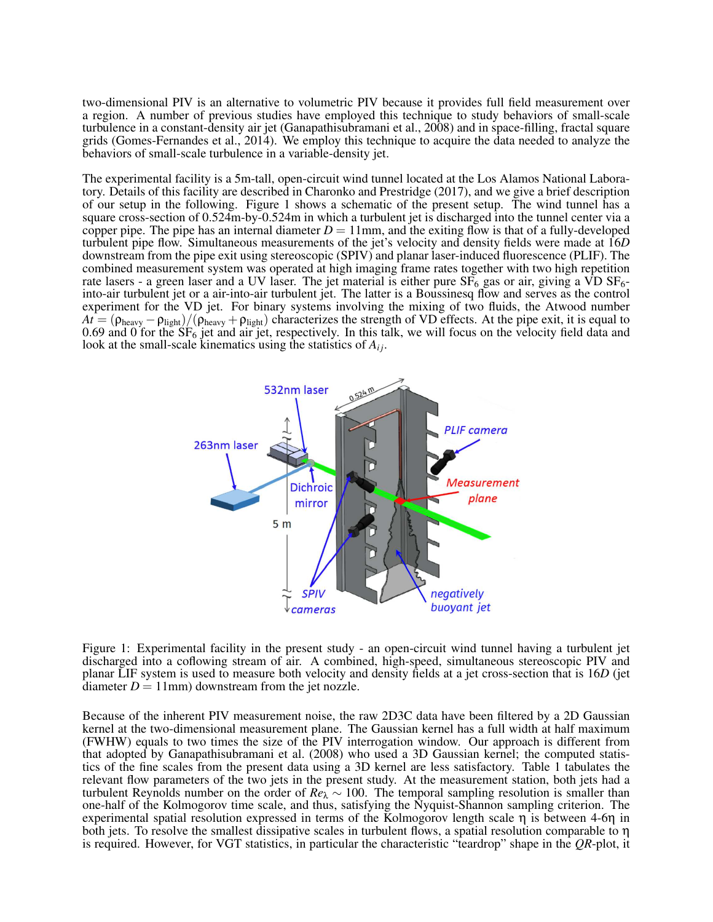two-dimensional PIV is an alternative to volumetric PIV because it provides full field measurement over a region. A number of previous studies have employed this technique to study behaviors of small-scale turbulence in a constant-density air jet (Ganapathisubramani et al., 2008) and in space-filling, fractal square grids (Gomes-Fernandes et al., 2014). We employ this technique to acquire the data needed to analyze the behaviors of small-scale turbulence in a variable-density jet.

The experimental facility is a 5m-tall, open-circuit wind tunnel located at the Los Alamos National Laboratory. Details of this facility are described in Charonko and Prestridge (2017), and we give a brief description of our setup in the following. Figure 1 shows a schematic of the present setup. The wind tunnel has a square cross-section of 0.524m-by-0.524m in which a turbulent jet is discharged into the tunnel center via a copper pipe. The pipe has an internal diameter  $D = 11$  mm, and the exiting flow is that of a fully-developed turbulent pipe flow. Simultaneous measurements of the jet's velocity and density fields were made at 16*D* downstream from the pipe exit using stereoscopic (SPIV) and planar laser-induced fluorescence (PLIF). The combined measurement system was operated at high imaging frame rates together with two high repetition rate lasers - a green laser and a UV laser. The jet material is either pure  $SF_6$  gas or air, giving a VD  $SF_6$ into-air turbulent jet or a air-into-air turbulent jet. The latter is a Boussinesq flow and serves as the control experiment for the VD jet. For binary systems involving the mixing of two fluids, the Atwood number  $A_t = (\rho_{\text{heavy}} - \rho_{\text{light}})/(\rho_{\text{heavy}} + \rho_{\text{light}})$  characterizes the strength of VD effects. At the pipe exit, it is equal to 0.69 and 0 for the  $SF_6$  jet and air jet, respectively. In this talk, we will focus on the velocity field data and look at the small-scale kinematics using the statistics of  $A_{ij}$ .



Figure 1: Experimental facility in the present study - an open-circuit wind tunnel having a turbulent jet discharged into a coflowing stream of air. A combined, high-speed, simultaneous stereoscopic PIV and planar LIF system is used to measure both velocity and density fields at a jet cross-section that is 16*D* (jet diameter  $D = 11$  mm) downstream from the jet nozzle.

Because of the inherent PIV measurement noise, the raw 2D3C data have been filtered by a 2D Gaussian kernel at the two-dimensional measurement plane. The Gaussian kernel has a full width at half maximum (FWHW) equals to two times the size of the PIV interrogation window. Our approach is different from that adopted by Ganapathisubramani et al. (2008) who used a 3D Gaussian kernel; the computed statistics of the fine scales from the present data using a 3D kernel are less satisfactory. Table 1 tabulates the relevant flow parameters of the two jets in the present study. At the measurement station, both jets had a turbulent Reynolds number on the order of *Re*<sup>λ</sup> ∼ 100. The temporal sampling resolution is smaller than one-half of the Kolmogorov time scale, and thus, satisfying the Nyquist-Shannon sampling criterion. The experimental spatial resolution expressed in terms of the Kolmogorov length scale η is between 4-6η in both jets. To resolve the smallest dissipative scales in turbulent flows, a spatial resolution comparable to  $\eta$ is required. However, for VGT statistics, in particular the characteristic "teardrop" shape in the *QR*-plot, it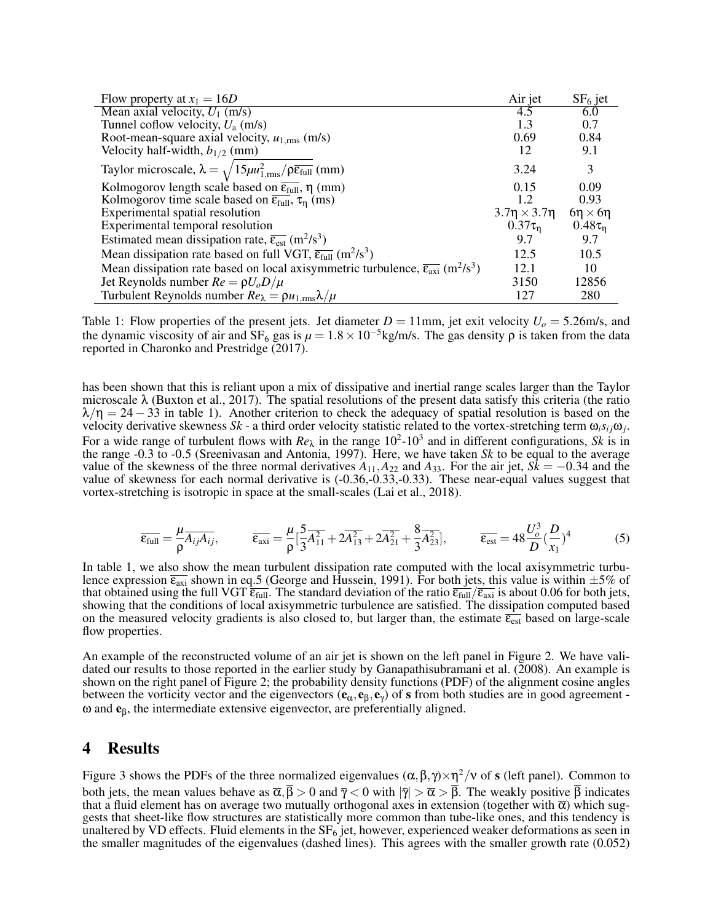| Flow property at $x_1 = 16D$                                                                                                | Air jet                  | $SF6$ jet            |
|-----------------------------------------------------------------------------------------------------------------------------|--------------------------|----------------------|
| Mean axial velocity, $U_1$ (m/s)                                                                                            | 4.5                      | 6.0                  |
| Tunnel coflow velocity, $U_a$ (m/s)                                                                                         | 1.3                      | 0.7                  |
| Root-mean-square axial velocity, $u_{1,rms}$ (m/s)                                                                          | 0.69                     | 0.84                 |
| Velocity half-width, $b_{1/2}$ (mm)                                                                                         | 12                       | 9.1                  |
| Taylor microscale, $\lambda = \sqrt{15 \mu u_{1,rms}^2 / \rho \epsilon_{\text{full}}}$ (mm)                                 | 3.24                     | 3                    |
| Kolmogorov length scale based on $\overline{\epsilon_{full}}$ , $\eta$ (mm)                                                 | 0.15                     | 0.09                 |
| Kolmogorov time scale based on $\overline{\epsilon_{full}}$ , $\tau_n$ (ms)                                                 | 1.2                      | 0.93                 |
| Experimental spatial resolution                                                                                             | $3.7\eta \times 3.7\eta$ | $6\eta \times 6\eta$ |
| Experimental temporal resolution                                                                                            | $0.37\tau_n$             | $0.48\tau_n$         |
| Estimated mean dissipation rate, $\overline{\epsilon_{est}}$ (m <sup>2</sup> /s <sup>3</sup> )                              | 9.7                      | 9.7                  |
| Mean dissipation rate based on full VGT, $\overline{\epsilon_{full}}$ (m <sup>2</sup> /s <sup>3</sup> )                     | 12.5                     | 10.5                 |
| Mean dissipation rate based on local axisymmetric turbulence, $\overline{\epsilon_{axi}}$ (m <sup>2</sup> /s <sup>3</sup> ) | 12.1                     | 10                   |
| Jet Reynolds number $Re = \rho U_o D/\mu$                                                                                   | 3150                     | 12856                |
| Turbulent Reynolds number $Re_{\lambda} = \rho u_{1,rms} \lambda / \mu$                                                     | 127                      | 280                  |

Table 1: Flow properties of the present jets. Jet diameter  $D = 11$ mm, jet exit velocity  $U_o = 5.26$ m/s, and the dynamic viscosity of air and SF<sub>6</sub> gas is  $\mu = 1.8 \times 10^{-5}$ kg/m/s. The gas density  $\rho$  is taken from the data reported in Charonko and Prestridge (2017).

has been shown that this is reliant upon a mix of dissipative and inertial range scales larger than the Taylor microscale  $\lambda$  (Buxton et al., 2017). The spatial resolutions of the present data satisfy this criteria (the ratio  $\lambda/\eta = 24 - 33$  in table 1). Another criterion to check the adequacy of spatial resolution is based on the velocity derivative skewness *Sk* - a third order velocity statistic related to the vortex-stretching term  $\omega_i s_{ij} \omega_j$ . For a wide range of turbulent flows with  $Re_\lambda$  in the range  $10^2$ -10<sup>3</sup> and in different configurations, *Sk* is in the range -0.3 to -0.5 (Sreenivasan and Antonia, 1997). Here, we have taken *Sk* to be equal to the average value of the skewness of the three normal derivatives  $A_{11}$ ,  $A_{22}$  and  $A_{33}$ . For the air jet,  $S\bar{k} = -0.34$  and the value of skewness for each normal derivative is (-0.36,-0.33,-0.33). These near-equal values suggest that vortex-stretching is isotropic in space at the small-scales (Lai et al., 2018).

$$
\overline{\epsilon_{\text{full}}} = \frac{\mu}{\rho} \overline{A_{ij} A_{ij}}, \qquad \overline{\epsilon_{\text{axi}}} = \frac{\mu}{\rho} \left[ \frac{5}{3} \overline{A_{11}^2} + 2 \overline{A_{13}^2} + 2 \overline{A_{21}^2} + \frac{8}{3} \overline{A_{23}^2} \right], \qquad \overline{\epsilon_{\text{est}}} = 48 \frac{U_o^3}{D} (\frac{D}{x_1})^4 \tag{5}
$$

In table 1, we also show the mean turbulent dissipation rate computed with the local axisymmetric turbulence expression  $\overline{\epsilon_{axi}}$  shown in eq.5 (George and Hussein, 1991). For both jets, this value is within  $\pm 5\%$  of that obtained using the full VGT  $\overline{\epsilon_{\text{full}}}$ . The standard deviation of the ratio  $\overline{\epsilon_{\text{full}}}/\overline{\epsilon_{\text{axi}}}$  is about 0.06 for both jets, showing that the conditions of local axisymmetric turbulence are satisfied. The dissipation computed based on the measured velocity gradients is also closed to, but larger than, the estimate  $\overline{\epsilon_{\text{est}}}$  based on large-scale flow properties.

An example of the reconstructed volume of an air jet is shown on the left panel in Figure 2. We have validated our results to those reported in the earlier study by Ganapathisubramani et al. (2008). An example is shown on the right panel of Figure 2; the probability density functions (PDF) of the alignment cosine angles between the vorticity vector and the eigenvectors ( $e_\alpha, e_\beta, e_\gamma$ ) of s from both studies are in good agreement  $ω$  and  $e<sub>β</sub>$ , the intermediate extensive eigenvector, are preferentially aligned.

#### 4 Results

Figure 3 shows the PDFs of the three normalized eigenvalues  $(\alpha, \beta, \gamma) \times \eta^2/\nu$  of s (left panel). Common to both jets, the mean values behave as  $\overline{\alpha}, \beta > 0$  and  $\overline{\gamma} < 0$  with  $|\overline{\gamma}| > \overline{\alpha} > \beta$ . The weakly positive  $\beta$  indicates that a fluid element has on average two mutually orthogonal axes in extension (together with  $\overline{\alpha}$ ) which suggests that sheet-like flow structures are statistically more common than tube-like ones, and this tendency is unaltered by VD effects. Fluid elements in the  $SF_6$  jet, however, experienced weaker deformations as seen in the smaller magnitudes of the eigenvalues (dashed lines). This agrees with the smaller growth rate (0.052)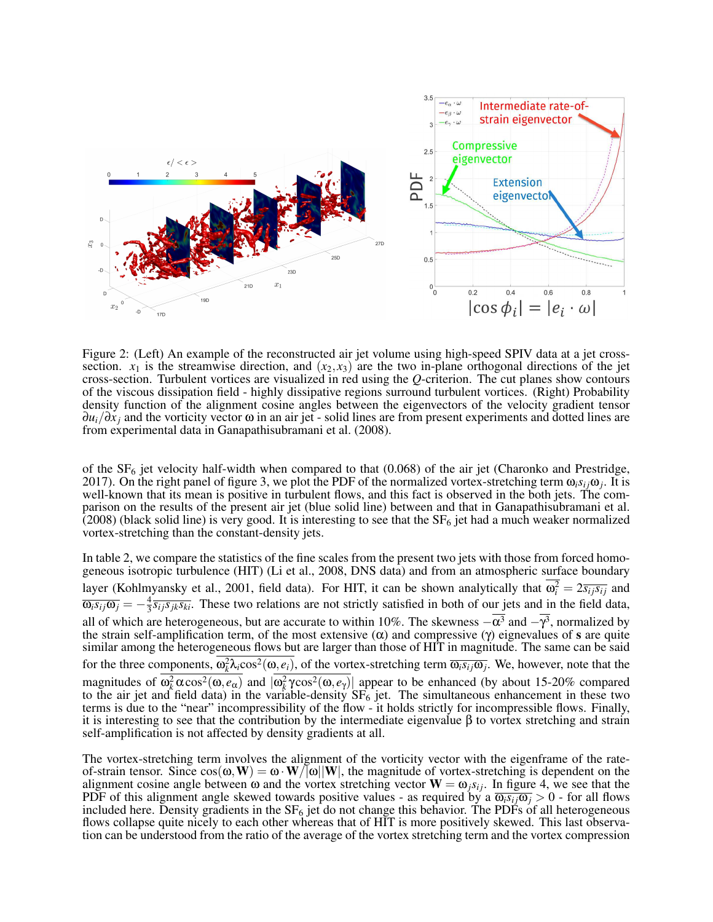

Figure 2: (Left) An example of the reconstructed air jet volume using high-speed SPIV data at a jet crosssection.  $x_1$  is the streamwise direction, and  $(x_2, x_3)$  are the two in-plane orthogonal directions of the jet cross-section. Turbulent vortices are visualized in red using the *Q*-criterion. The cut planes show contours of the viscous dissipation field - highly dissipative regions surround turbulent vortices. (Right) Probability density function of the alignment cosine angles between the eigenvectors of the velocity gradient tensor ∂*ui*/∂*x<sup>j</sup>* and the vorticity vector ω in an air jet - solid lines are from present experiments and dotted lines are from experimental data in Ganapathisubramani et al. (2008).

of the  $SF<sub>6</sub>$  jet velocity half-width when compared to that (0.068) of the air jet (Charonko and Prestridge, 2017). On the right panel of figure 3, we plot the PDF of the normalized vortex-stretching term  $\omega_i s_{ij} \omega_j$ . It is well-known that its mean is positive in turbulent flows, and this fact is observed in the both jets. The comparison on the results of the present air jet (blue solid line) between and that in Ganapathisubramani et al. (2008) (black solid line) is very good. It is interesting to see that the  $SF<sub>6</sub>$  jet had a much weaker normalized vortex-stretching than the constant-density jets.

In table 2, we compare the statistics of the fine scales from the present two jets with those from forced homogeneous isotropic turbulence (HIT) (Li et al., 2008, DNS data) and from an atmospheric surface boundary layer (Kohlmyansky et al., 2001, field data). For HIT, it can be shown analytically that  $\omega_i^2 = 2\overline{s_{ij}s_{ij}}$  and  $\overline{\omega_i s_{ij} \omega_j} = -\frac{4}{3}$  $\frac{4}{3}$ *s*<sub>*i*</sub>*s*<sub>*js*<sub>*i*</sub>*k*<sub>*s*</sub><sup>*i*</sup>*i*. These two relations are not strictly satisfied in both of our jets and in the field data,</sub> all of which are heterogeneous, but are accurate to within 10%. The skewness  $-\alpha^3$  and  $-\gamma^3$ , normalized by the strain self-amplification term, of the most extensive  $(\alpha)$  and compressive  $(\gamma)$  eignevalues of s are quite similar among the heterogeneous flows but are larger than those of HIT in magnitude. The same can be said for the three components,  $\omega_k^2 \lambda_i \cos^2(\omega, e_i)$ , of the vortex-stretching term  $\overline{\omega_i s_{ij} \omega_j}$ . We, however, note that the magnitudes of  $\omega_k^2 \alpha \cos^2(\omega, e_\alpha)$  and  $|\omega_k^2 \gamma \cos^2(\omega, e_\gamma)|$  appear to be enhanced (by about 15-20% compared to the air jet and field data) in the variable-density  $SF<sub>6</sub>$  jet. The simultaneous enhancement in these two terms is due to the "near" incompressibility of the flow - it holds strictly for incompressible flows. Finally, it is interesting to see that the contribution by the intermediate eigenvalue β to vortex stretching and strain self-amplification is not affected by density gradients at all.

The vortex-stretching term involves the alignment of the vorticity vector with the eigenframe of the rateof-strain tensor. Since  $\cos(\omega, \mathbf{W}) = \omega \cdot \mathbf{W}/|\omega||\mathbf{W}|$ , the magnitude of vortex-stretching is dependent on the alignment cosine angle between  $\omega$  and the vortex stretching vector  $\mathbf{W} = \omega_j s_{ij}$ . In figure 4, we see that the PDF of this alignment angle skewed towards positive values - as required by a  $\overline{\omega_i s_i \omega_j} > 0$  - for all flows included here. Density gradients in the  $SF<sub>6</sub>$  jet do not change this behavior. The PDFs of all heterogeneous flows collapse quite nicely to each other whereas that of HIT is more positively skewed. This last observation can be understood from the ratio of the average of the vortex stretching term and the vortex compression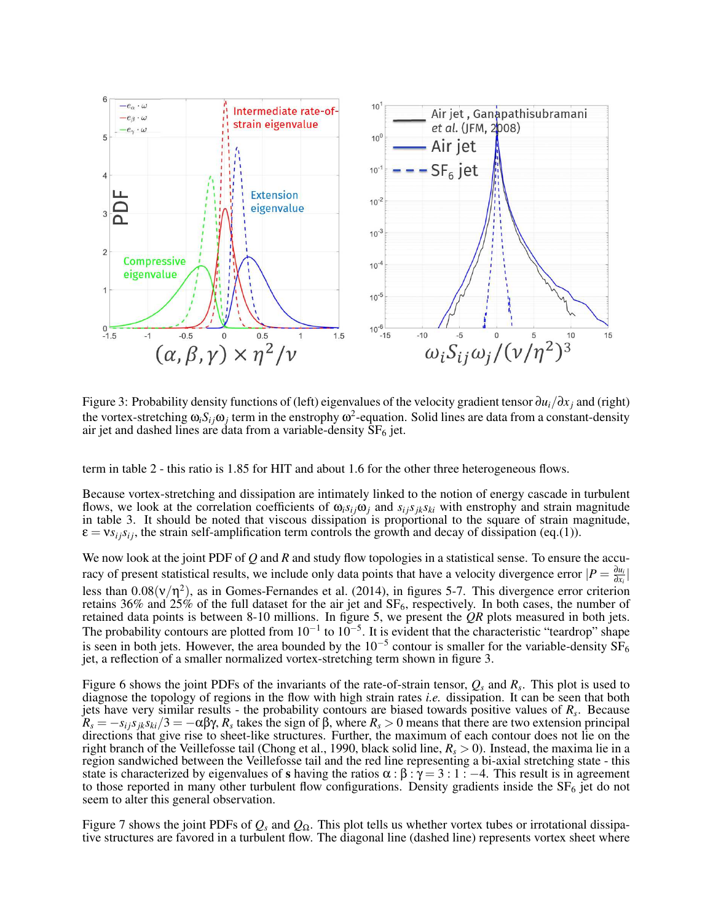

Figure 3: Probability density functions of (left) eigenvalues of the velocity gradient tensor ∂*ui*/∂*x<sup>j</sup>* and (right) the vortex-stretching  $\omega_i S_{ij} \omega_j$  term in the enstrophy  $\omega^2$ -equation. Solid lines are data from a constant-density air jet and dashed lines are data from a variable-density  $SF<sub>6</sub>$  jet.

term in table 2 - this ratio is 1.85 for HIT and about 1.6 for the other three heterogeneous flows.

Because vortex-stretching and dissipation are intimately linked to the notion of energy cascade in turbulent flows, we look at the correlation coefficients of  $\omega_i s_{ij} \omega_j$  and  $s_{ij} s_{jk} s_{ki}$  with enstrophy and strain magnitude in table 3. It should be noted that viscous dissipation is proportional to the square of strain magnitude,  $\varepsilon = v s_{i j} s_{i j}$ , the strain self-amplification term controls the growth and decay of dissipation (eq.(1)).

We now look at the joint PDF of Q and R and study flow topologies in a statistical sense. To ensure the accuracy of present statistical results, we include only data points that have a velocity divergence error  $|P = \frac{\partial u_i}{\partial x_i}|$  $\frac{\partial u_i}{\partial x_i}$ | less than  $0.08(v/\eta^2)$ , as in Gomes-Fernandes et al. (2014), in figures 5-7. This divergence error criterion retains 36% and 25% of the full dataset for the air jet and  $SF_6$ , respectively. In both cases, the number of retained data points is between 8-10 millions. In figure 5, we present the *QR* plots measured in both jets. The probability contours are plotted from  $10^{-1}$  to  $10^{-5}$ . It is evident that the characteristic "teardrop" shape is seen in both jets. However, the area bounded by the  $10^{-5}$  contour is smaller for the variable-density SF<sub>6</sub> jet, a reflection of a smaller normalized vortex-stretching term shown in figure 3.

Figure 6 shows the joint PDFs of the invariants of the rate-of-strain tensor, *Q<sup>s</sup>* and *R<sup>s</sup>* . This plot is used to diagnose the topology of regions in the flow with high strain rates *i.e.* dissipation. It can be seen that both jets have very similar results - the probability contours are biased towards positive values of *R<sup>s</sup>* . Because  $R_s = -s_{ij} s_{jk} s_{ki}/3 = -\alpha \beta \gamma$ ,  $R_s$  takes the sign of β, where  $R_s > 0$  means that there are two extension principal directions that give rise to sheet-like structures. Further, the maximum of each contour does not lie on the right branch of the Veillefosse tail (Chong et al., 1990, black solid line,  $R_s > 0$ ). Instead, the maxima lie in a region sandwiched between the Veillefosse tail and the red line representing a bi-axial stretching state - this state is characterized by eigenvalues of s having the ratios  $\alpha : \beta : \gamma = 3 : 1 : -4$ . This result is in agreement to those reported in many other turbulent flow configurations. Density gradients inside the  $SF<sub>6</sub>$  jet do not seem to alter this general observation.

Figure 7 shows the joint PDFs of *Q<sup>s</sup>* and *Q*Ω. This plot tells us whether vortex tubes or irrotational dissipative structures are favored in a turbulent flow. The diagonal line (dashed line) represents vortex sheet where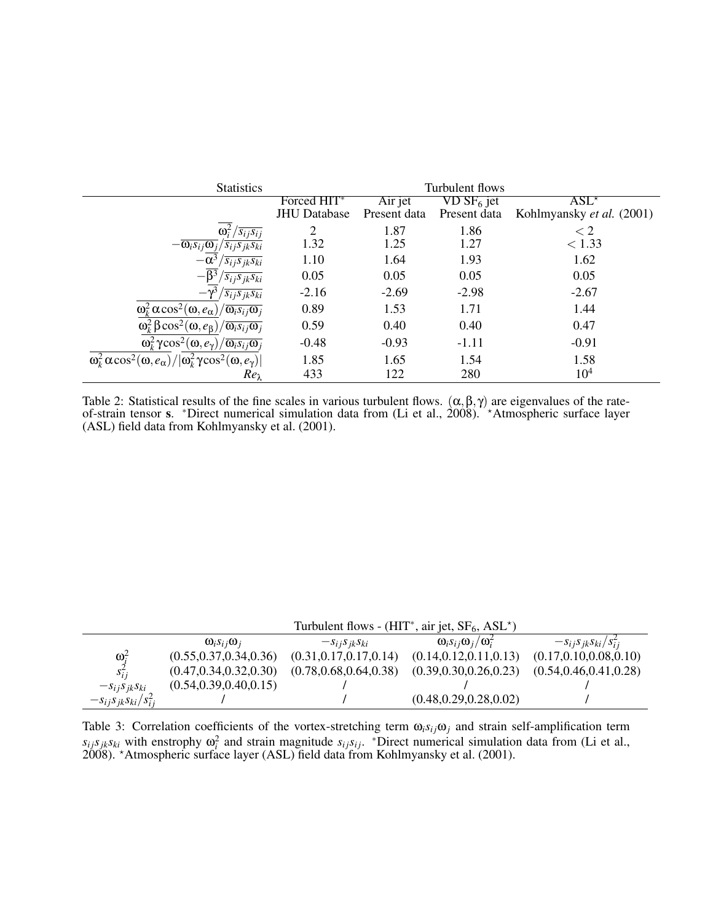| <b>Statistics</b>                                                                            | Turbulent flows                    |                         |                                |                                            |
|----------------------------------------------------------------------------------------------|------------------------------------|-------------------------|--------------------------------|--------------------------------------------|
|                                                                                              | Forced HIT*<br><b>JHU</b> Database | Air jet<br>Present data | $VD$ $SF6$ jet<br>Present data | $ASL^{\star}$<br>Kohlmyansky et al. (2001) |
| $\omega_i^2$<br>$S_{ij}S_{ij}$                                                               | 2                                  | 1.87                    | 1.86                           | < 2                                        |
| $-\overline{\omega_i s_{ij} \omega_j}/\overline{s_{ij} s_{ik} s_{ki}}$                       | 1.32                               | 1.25                    | 1.27                           | < 1.33                                     |
| $-\alpha^3$<br>$\overline{S_{i} S_{ik} S_{ki}}$                                              | 1.10                               | 1.64                    | 1.93                           | 1.62                                       |
| $-\overline{\beta^3}$ / $\cdot$<br>$\sqrt{S_{ij}S_{ik}S_{ki}}$                               | 0.05                               | 0.05                    | 0.05                           | 0.05                                       |
| $-\gamma^3/\overline{s_{ij}s_{jk}s_{ki}}$                                                    | $-2.16$                            | $-2.69$                 | $-2.98$                        | $-2.67$                                    |
| $\omega_{k}^{2} \alpha \cos^{2}(\omega, e_{\alpha})/\overline{\omega_{i} s_{ij} \omega_{j}}$ | 0.89                               | 1.53                    | 1.71                           | 1.44                                       |
| $\omega_k^2 \beta \cos^2(\omega, e_\beta)/\overline{\omega_i s_{ij} \omega_j}$               | 0.59                               | 0.40                    | 0.40                           | 0.47                                       |
| $\omega_i^2 \gamma \cos^2(\omega, e_\gamma) / \overline{\omega_i s_{ij} \omega_j}$           | $-0.48$                            | $-0.93$                 | $-1.11$                        | $-0.91$                                    |
| $\omega_k^2 \alpha \cos^2(\omega, e_\alpha)/ \omega_k^2 \gamma \cos^2(\omega, e_\gamma) $    | 1.85                               | 1.65                    | 1.54                           | 1.58                                       |
| $Re_{\lambda}$                                                                               | 433                                | 122                     | 280                            | $10^{4}$                                   |

Table 2: Statistical results of the fine scales in various turbulent flows.  $(\alpha, \beta, \gamma)$  are eigenvalues of the rateof-strain tensor s. \*Direct numerical simulation data from (Li et al., 2008). \*Atmospheric surface layer (ASL) field data from Kohlmyansky et al. (2001).

Turbulent flows - (HIT<sup>\*</sup>, air jet,  $SF_6$ ,  $ASL^*$ )

|                                | $\omega_i s_i \omega_i$  | $-S_{ij}S_{ik}S_{ki}$    | $\omega_i s_{ij} \omega_j / \omega_i^2$ | $-s_{ij}s_{jk}s_{ki}/s_{ij}^2$ |
|--------------------------------|--------------------------|--------------------------|-----------------------------------------|--------------------------------|
| $\omega_i^2$                   | (0.55, 0.37, 0.34, 0.36) | (0.31, 0.17, 0.17, 0.14) | (0.14, 0.12, 0.11, 0.13)                | (0.17, 0.10, 0.08, 0.10)       |
| $S_{ij}^{\sim}$                | (0.47, 0.34, 0.32, 0.30) | (0.78, 0.68, 0.64, 0.38) | (0.39, 0.30, 0.26, 0.23)                | (0.54, 0.46, 0.41, 0.28)       |
| $-s_{ij}s_{jk}s_{ki}$          | (0.54, 0.39, 0.40, 0.15) |                          |                                         |                                |
| $-s_{ij}s_{jk}s_{ki}/s_{ij}^2$ |                          |                          | (0.48, 0.29, 0.28, 0.02)                |                                |

Table 3: Correlation coefficients of the vortex-stretching term  $\omega_i s_{ij} \omega_j$  and strain self-amplification term  $s_{ij} s_{jk} s_{ki}$  with enstrophy  $\omega_i^2$  and strain magnitude  $s_{ij} s_{ij}$ . \*Direct numerical simulation data from (Li et al., 2008). ?Atmospheric surface layer (ASL) field data from Kohlmyansky et al. (2001).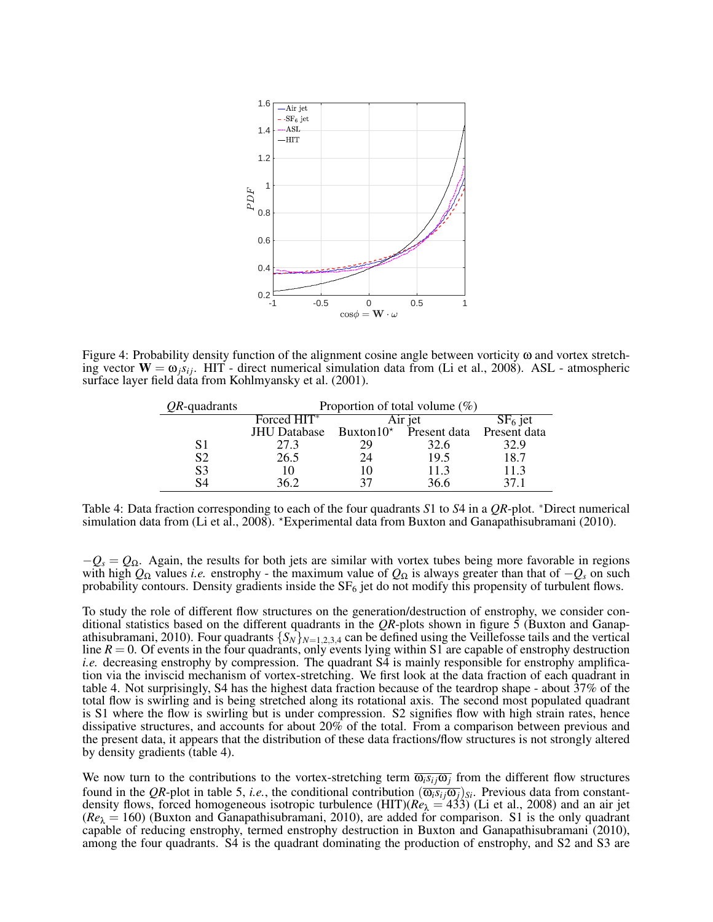

Figure 4: Probability density function of the alignment cosine angle between vorticity ω and vortex stretching vector  $W = \omega_j s_{ij}$ . HIT - direct numerical simulation data from (Li et al., 2008). ASL - atmospheric surface layer field data from Kohlmyansky et al. (2001).

| $QR$ -quadrants | Proportion of total volume $(\%)$                            |         |      |           |
|-----------------|--------------------------------------------------------------|---------|------|-----------|
|                 | Forced $HIT^*$                                               | Air jet |      | $SF6$ jet |
|                 | JHU Database Buxton10 <sup>*</sup> Present data Present data |         |      |           |
|                 | 27.3                                                         | 29      | 32.6 | 32.9      |
| S2              | 26.5                                                         | 24      | 19.5 | 18.7      |
| S3              |                                                              |         | 11.3 | 11.3      |
|                 | 362                                                          |         | 36.6 |           |

Table 4: Data fraction corresponding to each of the four quadrants *S*1 to *S*4 in a *QR*-plot. <sup>∗</sup>Direct numerical simulation data from (Li et al., 2008). ?Experimental data from Buxton and Ganapathisubramani (2010).

 $-Q_s = Q_\Omega$ . Again, the results for both jets are similar with vortex tubes being more favorable in regions with high  $Q_{\Omega}$  values *i.e.* enstrophy - the maximum value of  $Q_{\Omega}$  is always greater than that of  $-Q_s$  on such probability contours. Density gradients inside the  $SF_6$  jet do not modify this propensity of turbulent flows.

To study the role of different flow structures on the generation/destruction of enstrophy, we consider conditional statistics based on the different quadrants in the *QR*-plots shown in figure 5 (Buxton and Ganapathisubramani, 2010). Four quadrants  $\{S_N\}_{N=1,2,3,4}$  can be defined using the Veillefosse tails and the vertical line  $R = 0$ . Of events in the four quadrants, only events lying within S1 are capable of enstrophy destruction *i.e.* decreasing enstrophy by compression. The quadrant S<sup> $\bar{4}$ </sup> is mainly responsible for enstrophy amplification via the inviscid mechanism of vortex-stretching. We first look at the data fraction of each quadrant in table 4. Not surprisingly, S4 has the highest data fraction because of the teardrop shape - about 37% of the total flow is swirling and is being stretched along its rotational axis. The second most populated quadrant is S1 where the flow is swirling but is under compression. S2 signifies flow with high strain rates, hence dissipative structures, and accounts for about 20% of the total. From a comparison between previous and the present data, it appears that the distribution of these data fractions/flow structures is not strongly altered by density gradients (table 4).

We now turn to the contributions to the vortex-stretching term  $\overline{\omega_i s_i \omega_j}$  from the different flow structures found in the QR-plot in table 5, *i.e.*, the conditional contribution  $(\overline{\omega_i s_{ij} \omega_j})_{Si}$ . Previous data from constantdensity flows, forced homogeneous isotropic turbulence (HIT)( $Re<sub>\lambda</sub> = 433$ ) (Li et al., 2008) and an air jet  $(Re<sub>\lambda</sub> = 160)$  (Buxton and Ganapathisubramani, 2010), are added for comparison. S1 is the only quadrant capable of reducing enstrophy, termed enstrophy destruction in Buxton and Ganapathisubramani (2010), among the four quadrants. S4 is the quadrant dominating the production of enstrophy, and S2 and S3 are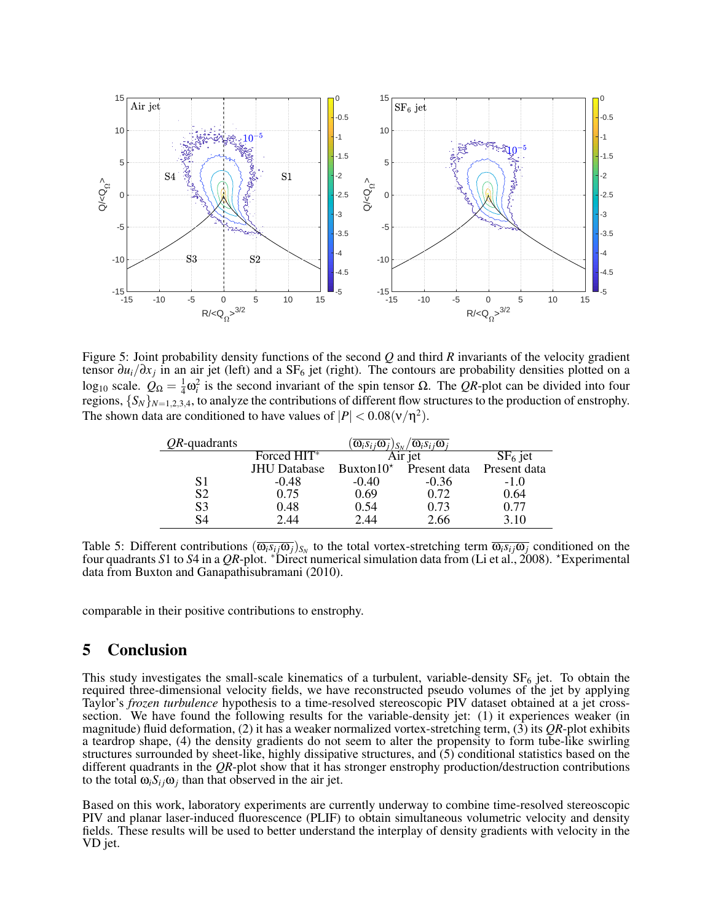

Figure 5: Joint probability density functions of the second *Q* and third *R* invariants of the velocity gradient tensor  $\partial u_i/\partial x_j$  in an air jet (left) and a SF<sub>6</sub> jet (right). The contours are probability densities plotted on a log<sub>10</sub> scale.  $Q_{\Omega} = \frac{1}{4}$  $\frac{1}{4}$ ω<sup>2</sup> is the second invariant of the spin tensor Ω. The *QR*-plot can be divided into four regions,  $\{S_N\}_{N=1,2,3,4}$ , to analyze the contributions of different flow structures to the production of enstrophy. The shown data are conditioned to have values of  $|P| < 0.08(v/\eta^2)$ .

| $QR$ -quadrants |                     | $\omega_i s_{i i} \omega_i$ | $\sqrt{\omega_i} s_{i j} \omega_j$ |              |
|-----------------|---------------------|-----------------------------|------------------------------------|--------------|
|                 | Forced HIT*         | Air jet                     |                                    | $SF6$ jet    |
|                 | <b>JHU</b> Database | Buxton $10^*$               | Present data                       | Present data |
| S1              | $-0.48$             | $-0.40$                     | $-0.36$                            | $-1.0$       |
| S <sub>2</sub>  | 0.75                | 0.69                        | 0.72                               | 0.64         |
| S <sub>3</sub>  | 0.48                | 0.54                        | 0.73                               | 0.77         |
| 84              | 2.44                | 2 44                        | 2.66                               | 3.10         |

Table 5: Different contributions  $(\overline{\omega_i s_{ij} \omega_j})_{S_N}$  to the total vortex-stretching term  $\overline{\omega_i s_{ij} \omega_j}$  conditioned on the four quadrants *S*1 to *S*4 in a *QR*-plot. <sup>∗</sup>Direct numerical simulation data from (Li et al., 2008). ?Experimental data from Buxton and Ganapathisubramani (2010).

comparable in their positive contributions to enstrophy.

### 5 Conclusion

This study investigates the small-scale kinematics of a turbulent, variable-density  $SF_6$  jet. To obtain the required three-dimensional velocity fields, we have reconstructed pseudo volumes of the jet by applying Taylor's *frozen turbulence* hypothesis to a time-resolved stereoscopic PIV dataset obtained at a jet crosssection. We have found the following results for the variable-density jet: (1) it experiences weaker (in magnitude) fluid deformation, (2) it has a weaker normalized vortex-stretching term, (3) its *QR*-plot exhibits a teardrop shape, (4) the density gradients do not seem to alter the propensity to form tube-like swirling structures surrounded by sheet-like, highly dissipative structures, and (5) conditional statistics based on the different quadrants in the *QR*-plot show that it has stronger enstrophy production/destruction contributions to the total  $\omega_i S_{ij} \omega_j$  than that observed in the air jet.

Based on this work, laboratory experiments are currently underway to combine time-resolved stereoscopic PIV and planar laser-induced fluorescence (PLIF) to obtain simultaneous volumetric velocity and density fields. These results will be used to better understand the interplay of density gradients with velocity in the VD jet.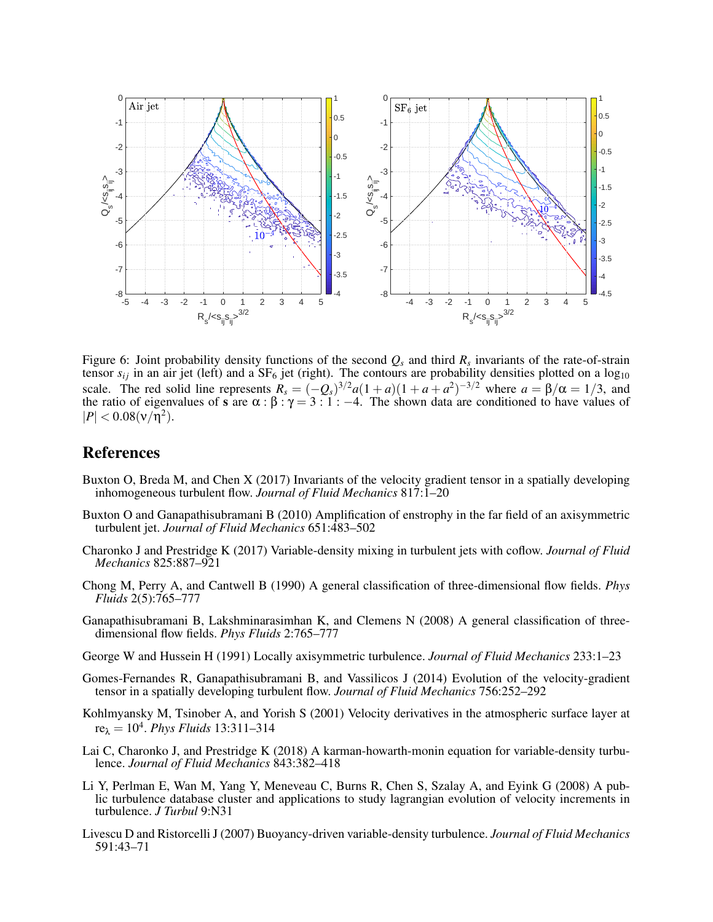

Figure 6: Joint probability density functions of the second  $Q_s$  and third  $R_s$  invariants of the rate-of-strain tensor  $s_{ij}$  in an air jet (left) and a  $SF_6$  jet (right). The contours are probability densities plotted on a  $log_{10}$ scale. The red solid line represents  $R_s = (-Q_s)^{3/2} a(1+a)(1+a+a^2)^{-3/2}$  where  $a = \beta/\alpha = 1/3$ , and the ratio of eigenvalues of s are  $\alpha$  :  $\beta$  :  $\gamma = 3$  : 1 : -4. The shown data are conditioned to have values of  $|P| < 0.08 \, (\nu / \eta^2)$ .

#### References

- Buxton O, Breda M, and Chen X (2017) Invariants of the velocity gradient tensor in a spatially developing inhomogeneous turbulent flow. *Journal of Fluid Mechanics* 817:1–20
- Buxton O and Ganapathisubramani B (2010) Amplification of enstrophy in the far field of an axisymmetric turbulent jet. *Journal of Fluid Mechanics* 651:483–502
- Charonko J and Prestridge K (2017) Variable-density mixing in turbulent jets with coflow. *Journal of Fluid Mechanics* 825:887–921
- Chong M, Perry A, and Cantwell B (1990) A general classification of three-dimensional flow fields. *Phys Fluids* 2(5):765–777
- Ganapathisubramani B, Lakshminarasimhan K, and Clemens N (2008) A general classification of threedimensional flow fields. *Phys Fluids* 2:765–777
- George W and Hussein H (1991) Locally axisymmetric turbulence. *Journal of Fluid Mechanics* 233:1–23
- Gomes-Fernandes R, Ganapathisubramani B, and Vassilicos J (2014) Evolution of the velocity-gradient tensor in a spatially developing turbulent flow. *Journal of Fluid Mechanics* 756:252–292
- Kohlmyansky M, Tsinober A, and Yorish S (2001) Velocity derivatives in the atmospheric surface layer at re<sup>λ</sup> = 10<sup>4</sup> . *Phys Fluids* 13:311–314
- Lai C, Charonko J, and Prestridge K (2018) A karman-howarth-monin equation for variable-density turbulence. *Journal of Fluid Mechanics* 843:382–418
- Li Y, Perlman E, Wan M, Yang Y, Meneveau C, Burns R, Chen S, Szalay A, and Eyink G (2008) A public turbulence database cluster and applications to study lagrangian evolution of velocity increments in turbulence. *J Turbul* 9:N31
- Livescu D and Ristorcelli J (2007) Buoyancy-driven variable-density turbulence. *Journal of Fluid Mechanics* 591:43–71